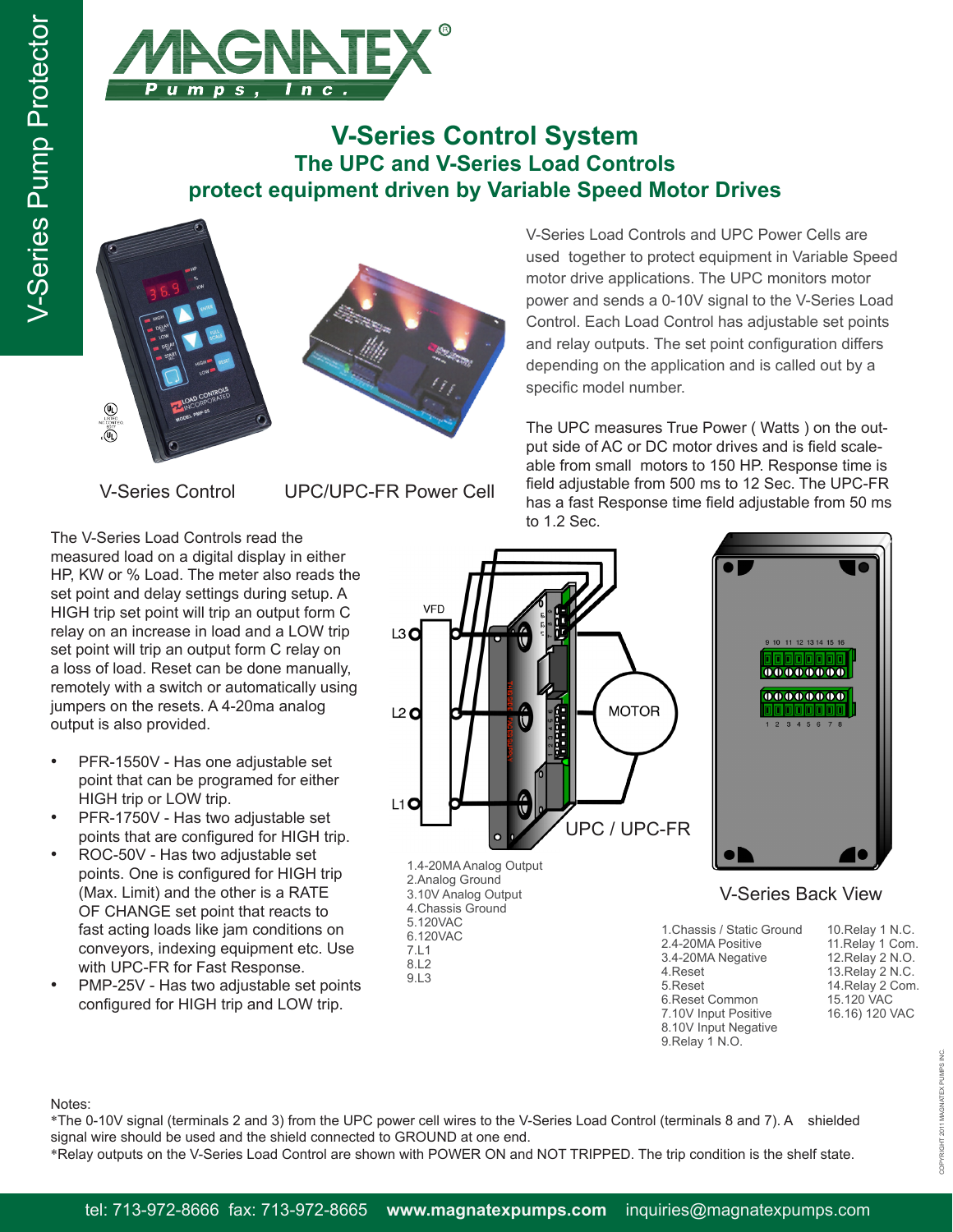

## **V-Series Control System The UPC and V-Series Load Controls protect equipment driven by Variable Speed Motor Drives**





V-Series Load Controls and UPC Power Cells are used together to protect equipment in Variable Speed motor drive applications. The UPC monitors motor power and sends a 0-10V signal to the V-Series Load Control. Each Load Control has adjustable set points and relay outputs. The set point configuration differs depending on the application and is called out by a specific model number.

The UPC measures True Power ( Watts ) on the output side of AC or DC motor drives and is field scaleable from small motors to 150 HP. Response time is field adjustable from 500 ms to 12 Sec. The UPC-FR has a fast Response time field adjustable from 50 ms to 1.2 Sec.

V-Series Control UPC/UPC-FR Power Cell

The V-Series Load Controls read the measured load on a digital display in either HP, KW or % Load. The meter also reads the set point and delay settings during setup. A HIGH trip set point will trip an output form C relay on an increase in load and a LOW trip set point will trip an output form C relay on a loss of load. Reset can be done manually, remotely with a switch or automatically using jumpers on the resets. A 4-20ma analog output is also provided.

- PFR-1550V Has one adjustable set point that can be programed for either HIGH trip or LOW trip.
- PFR-1750V Has two adjustable set points that are configured for HIGH trip.
- ROC-50V Has two adjustable set points. One is configured for HIGH trip (Max. Limit) and the other is a RATE OF CHANGE set point that reacts to fast acting loads like jam conditions on conveyors, indexing equipment etc. Use with UPC-FR for Fast Response.
- PMP-25V Has two adjustable set points configured for HIGH trip and LOW trip.





## V-Series Back View

| 1. Chassis / Static Ground |
|----------------------------|
| 2.4-20MA Positive          |
| 3.4-20MA Negative          |
| 4.Reset                    |
| 5.Reset                    |
| 6.Reset Common             |
| 7.10V Input Positive       |
| 8.10V Input Negative       |
| 9.Relay 1 N.O.             |
|                            |

10.Relay 1 N.C. 11.Relay 1 Com. 12.Relay 2 N.O. 13.Relay 2 N.C. 14.Relay 2 Com. 15.120 VAC 16.16) 120 VAC

Notes:

\*The 0-10V signal (terminals 2 and 3) from the UPC power cell wires to the V-Series Load Control (terminals 8 and 7). A shielded signal wire should be used and the shield connected to GROUND at one end.

9.L3

\*Relay outputs on the V-Series Load Control are shown with POWER ON and NOT TRIPPED. The trip condition is the shelf state.